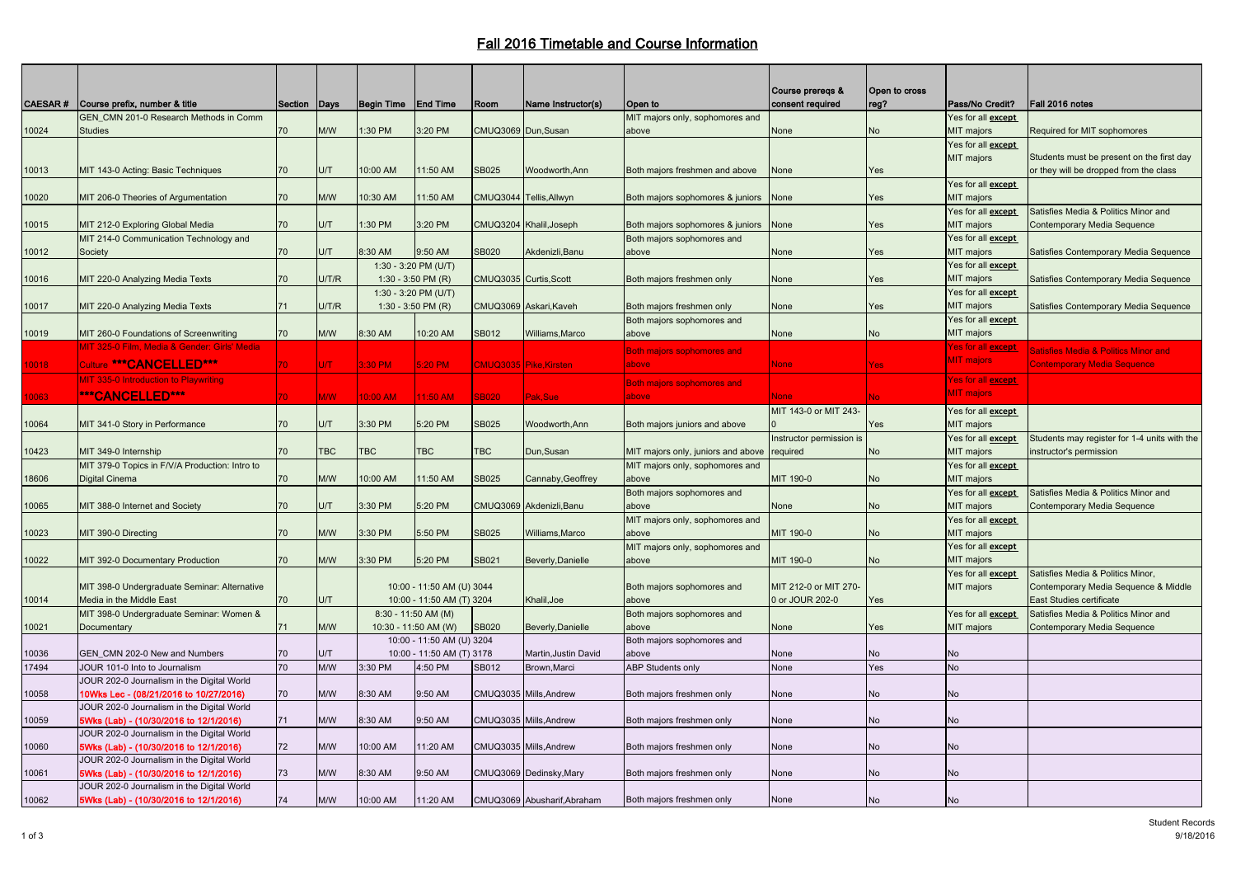## Fall 2016 Timetable and Course Information

|                               |                                                |                 |              |                       |                           |                        |                             |                                    | Course prereqs &         | Open to cross |                            |                                                 |
|-------------------------------|------------------------------------------------|-----------------|--------------|-----------------------|---------------------------|------------------------|-----------------------------|------------------------------------|--------------------------|---------------|----------------------------|-------------------------------------------------|
| <b>CAESAR</b> #               | Course prefix, number & title                  | Section   Days  |              | Begin Time            | <b>End Time</b>           | Room                   | Name Instructor(s)          | <b>Open to</b>                     | consent required         | reg?          | Pass/No Credit?            | Fall 2016 notes                                 |
|                               | GEN CMN 201-0 Research Methods in Comm         |                 |              |                       |                           |                        |                             | MIT majors only, sophomores and    |                          |               | Yes for all <b>except</b>  |                                                 |
| <b>Studies</b><br>10024       |                                                | 70              | M/W          | 1:30 PM               | 3:20 PM                   | CMUQ3069 Dun, Susan    |                             | above                              | None                     | No            | MIT majors                 | Required for MIT sophomores                     |
|                               |                                                |                 |              |                       |                           |                        |                             |                                    |                          |               | Yes for all <b>except</b>  |                                                 |
|                               |                                                |                 |              |                       |                           |                        |                             |                                    |                          |               | MIT majors                 | Students must be present on the first day       |
| 10013                         | MIT 143-0 Acting: Basic Techniques             | 70              | U/T          | 10:00 AM              | 11:50 AM                  | SB025                  | Woodworth, Ann              | Both majors freshmen and above     | None                     | Yes           |                            | or they will be dropped from the class          |
|                               |                                                |                 |              |                       |                           |                        |                             |                                    |                          |               | Yes for all <b>except</b>  |                                                 |
| 10020                         | MIT 206-0 Theories of Argumentation            | 70              | M/W          | 10:30 AM              | 11:50 AM                  | <b>CMUQ3044</b>        | Tellis, Allwyn              | Both majors sophomores & juniors   | None                     | Yes           | <b>MIT</b> majors          |                                                 |
|                               |                                                |                 |              |                       |                           |                        |                             |                                    |                          |               | Yes for all except         | Satisfies Media & Politics Minor and            |
| 10015                         | MIT 212-0 Exploring Global Media               | 70              | J/T          | 1:30 PM               | 3:20 PM                   |                        | CMUQ3204 Khalil, Joseph     | Both majors sophomores & juniors   | None                     | Yes           | MIT majors                 | Contemporary Media Sequence                     |
|                               | MIT 214-0 Communication Technology and         |                 |              |                       |                           |                        |                             |                                    |                          |               |                            |                                                 |
|                               |                                                |                 |              |                       |                           |                        |                             | Both majors sophomores and         |                          |               | Yes for all <b>except</b>  |                                                 |
| Society<br>10012              |                                                | 70              | U/T          | 8:30 AM               | 9:50 AM                   | <b>SB020</b>           | Akdenizli,Banu              | above                              | None                     | Yes           | MIT majors                 | Satisfies Contemporary Media Sequence           |
|                               |                                                |                 |              | 1:30 - 3:20 PM (U/T)  |                           |                        |                             |                                    |                          |               | Yes for all <b>except</b>  |                                                 |
| 10016                         | MIT 220-0 Analyzing Media Texts                | 70              | <b>J/T/R</b> | 1:30 - 3:50 PM $(R)$  |                           | CMUQ3035 Curtis, Scott |                             | Both majors freshmen only          | None                     | Yes           | MIT majors                 | Satisfies Contemporary Media Sequence           |
|                               |                                                |                 |              | 1:30 - 3:20 PM (U/T)  |                           |                        |                             |                                    |                          |               | Yes for all <b>except</b>  |                                                 |
| 10017                         | MIT 220-0 Analyzing Media Texts                | 71              | J/T/R        | 1:30 - 3:50 PM $(R)$  |                           |                        | CMUQ3069 Askari, Kaveh      | Both majors freshmen only          | None                     | Yes           | MIT majors                 | Satisfies Contemporary Media Sequence           |
|                               |                                                |                 |              |                       |                           |                        |                             | Both majors sophomores and         |                          |               | Yes for all <b>except</b>  |                                                 |
| 10019                         | MIT 260-0 Foundations of Screenwriting         | 70              | M/W          | 8:30 AM               | 10:20 AM                  | SB012                  | Williams, Marco             | above                              | None                     | No            | MIT majors                 |                                                 |
|                               | MIT 325-0 Film, Media & Gender: Girls' Media   |                 |              |                       |                           |                        |                             | Both majors sophomores and         |                          |               | Yes for all <u>except.</u> | <b>Satisfies Media &amp; Politics Minor and</b> |
| 0018                          | Culture *** CANCELLED***                       | 70 <sub>1</sub> | U/T          | 3:30 PM               | $5:20$ PM                 |                        | CMUQ3035 Pike, Kirsten      | above                              | <b>None</b>              | res (         | <b>MIT</b> majors          | <b>Contemporary Media Sequence</b>              |
|                               | MIT 335-0 Introduction to Playwriting          |                 |              |                       |                           |                        |                             |                                    |                          |               |                            |                                                 |
|                               |                                                |                 |              |                       |                           |                        |                             | <b>Both majors sophomores and</b>  |                          |               | Yes for all <u>except</u>  |                                                 |
| 0063                          | ***CANCELLED***                                | 70 <sup>1</sup> | <b>M/W</b>   | 0:00 AM               | $11:50$ AM                | <b>SB020</b>           | Pak.Sue                     | above                              | <b>None</b>              |               | <b>MIT</b> majors          |                                                 |
|                               |                                                |                 |              |                       |                           |                        |                             |                                    | MIT 143-0 or MIT 243-    |               | Yes for all except         |                                                 |
| 10064                         | MIT 341-0 Story in Performance                 | 70              | J/T          | 3:30 PM               | 5:20 PM                   | <b>SB025</b>           | Woodworth, Ann              | Both majors juniors and above      |                          | Yes           | <b>MIT</b> majors          |                                                 |
|                               |                                                |                 |              |                       |                           |                        |                             |                                    | Instructor permission is |               | Yes for all <b>except</b>  | Students may register for 1-4 units with the    |
| 10423                         | MIT 349-0 Internship                           | 70              | TBC          | TBC                   | TBC                       | TBC                    | Dun, Susan                  | MIT majors only, juniors and above | required                 | ٧o            | <b>MIT</b> majors          | instructor's permission                         |
|                               | MIT 379-0 Topics in F/V/A Production: Intro to |                 |              |                       |                           |                        |                             | MIT majors only, sophomores and    |                          |               | Yes for all <b>except</b>  |                                                 |
| 8606<br><b>Digital Cinema</b> |                                                | 70              | M/W          | 10:00 AM              | 11:50 AM                  | SB025                  | Cannaby, Geoffrey           | above                              | MIT 190-0                | No            | <b>MIT</b> majors          |                                                 |
|                               |                                                |                 |              |                       |                           |                        |                             | Both majors sophomores and         |                          |               | Yes for all <b>except</b>  | Satisfies Media & Politics Minor and            |
| 10065                         | MIT 388-0 Internet and Society                 | 70              | U/T          | 3:30 PM               | 5:20 PM                   | <b>CMUQ3069</b>        | Akdenizli.Banu              | above                              | <b>None</b>              | No            | MIT majors                 | Contemporary Media Sequence                     |
|                               |                                                |                 |              |                       |                           |                        |                             | MIT majors only, sophomores and    |                          |               | Yes for all except         |                                                 |
| 10023                         | MIT 390-0 Directing                            | 70              | M/W          | 3:30 PM               | 5:50 PM                   | SB025                  | Williams, Marco             | above                              | MIT 190-0                | No            | MIT majors                 |                                                 |
|                               |                                                |                 |              |                       |                           |                        |                             |                                    |                          |               |                            |                                                 |
|                               |                                                |                 |              |                       |                           |                        |                             | MIT majors only, sophomores and    |                          |               | Yes for all <b>except</b>  |                                                 |
| 10022                         | MIT 392-0 Documentary Production               | 70              | M/W          | 3:30 PM               | 5:20 PM                   | SB021                  | Beverly, Danielle           | above                              | MIT 190-0                | No            | MIT majors                 |                                                 |
|                               |                                                |                 |              |                       |                           |                        |                             |                                    |                          |               | Yes for all <b>except</b>  | Satisfies Media & Politics Minor.               |
|                               | MIT 398-0 Undergraduate Seminar: Alternative   |                 |              |                       | 10:00 - 11:50 AM (U) 3044 |                        |                             | Both majors sophomores and         | MIT 212-0 or MIT 270-    |               | MIT majors                 | Contemporary Media Sequence & Middle            |
| 10014                         | Media in the Middle East                       | 70              | U/T          |                       | 10:00 - 11:50 AM (T) 3204 |                        | Khalil.Joe                  | above                              | 0 or JOUR 202-0          | es/           |                            | East Studies certificate                        |
|                               | MIT 398-0 Undergraduate Seminar: Women &       |                 |              | $8:30 - 11:50$ AM (M) |                           |                        |                             | Both majors sophomores and         |                          |               | Yes for all except         | Satisfies Media & Politics Minor and            |
| 10021<br>Documentary          |                                                | 71              | M/W          | 10:30 - 11:50 AM (W)  |                           | <b>SB020</b>           | Beverly, Danielle           | above                              | None                     | Yes           | MIT majors                 | Contemporary Media Sequence                     |
|                               |                                                |                 |              |                       | 10:00 - 11:50 AM (U) 3204 |                        |                             | Both majors sophomores and         |                          |               |                            |                                                 |
| 0036                          | GEN CMN 202-0 New and Numbers                  | 70              | U/T          |                       | 10:00 - 11:50 AM (T) 3178 |                        | Martin, Justin David        | above                              | None                     | No            | No                         |                                                 |
| 17494                         | JOUR 101-0 Into to Journalism                  | 70              | M/W          | 3:30 PM               | 4:50 PM                   | SB012                  | Brown, Marci                | <b>ABP Students only</b>           | None                     | Yes           | <b>No</b>                  |                                                 |
|                               | JOUR 202-0 Journalism in the Digital World     |                 |              |                       |                           |                        |                             |                                    |                          |               |                            |                                                 |
| 0058                          | 10Wks Lec - (08/21/2016 to 10/27/2016)         | 70              | M/W          | 8:30 AM               | 9:50 AM                   |                        | CMUQ3035 Mills, Andrew      | Both majors freshmen only          | None                     | No            | No                         |                                                 |
|                               | JOUR 202-0 Journalism in the Digital World     |                 |              |                       |                           |                        |                             |                                    |                          |               |                            |                                                 |
| 0059                          | 5Wks (Lab) - (10/30/2016 to 12/1/2016)         | 71              | M/W          | 8:30 AM               | 9:50 AM                   |                        | CMUQ3035 Mills, Andrew      | Both majors freshmen only          | None                     | No            | No                         |                                                 |
|                               | JOUR 202-0 Journalism in the Digital World     |                 |              |                       |                           |                        |                             |                                    |                          |               |                            |                                                 |
| 0060                          | 5Wks (Lab) - (10/30/2016 to 12/1/2016)         | 72              | M/W          | 10:00 AM              | 11:20 AM                  |                        | CMUQ3035 Mills, Andrew      | Both majors freshmen only          | None                     | No            | <b>No</b>                  |                                                 |
|                               | JOUR 202-0 Journalism in the Digital World     |                 |              |                       |                           |                        |                             |                                    |                          |               |                            |                                                 |
| 0061                          | 5Wks (Lab) - (10/30/2016 to 12/1/2016)         | 73              | M/W          | 8:30 AM               | 9:50 AM                   |                        | CMUQ3069 Dedinsky, Mary     | Both majors freshmen only          | None                     | No            | No                         |                                                 |
|                               | JOUR 202-0 Journalism in the Digital World     |                 |              |                       |                           |                        |                             |                                    |                          |               |                            |                                                 |
| 10062                         | 5Wks (Lab) - (10/30/2016 to 12/1/2016)         | 74              | M/W          | 10:00 AM              | 11:20 AM                  |                        | CMUQ3069 Abusharif, Abraham | Both majors freshmen only          | None                     | No            | <b>No</b>                  |                                                 |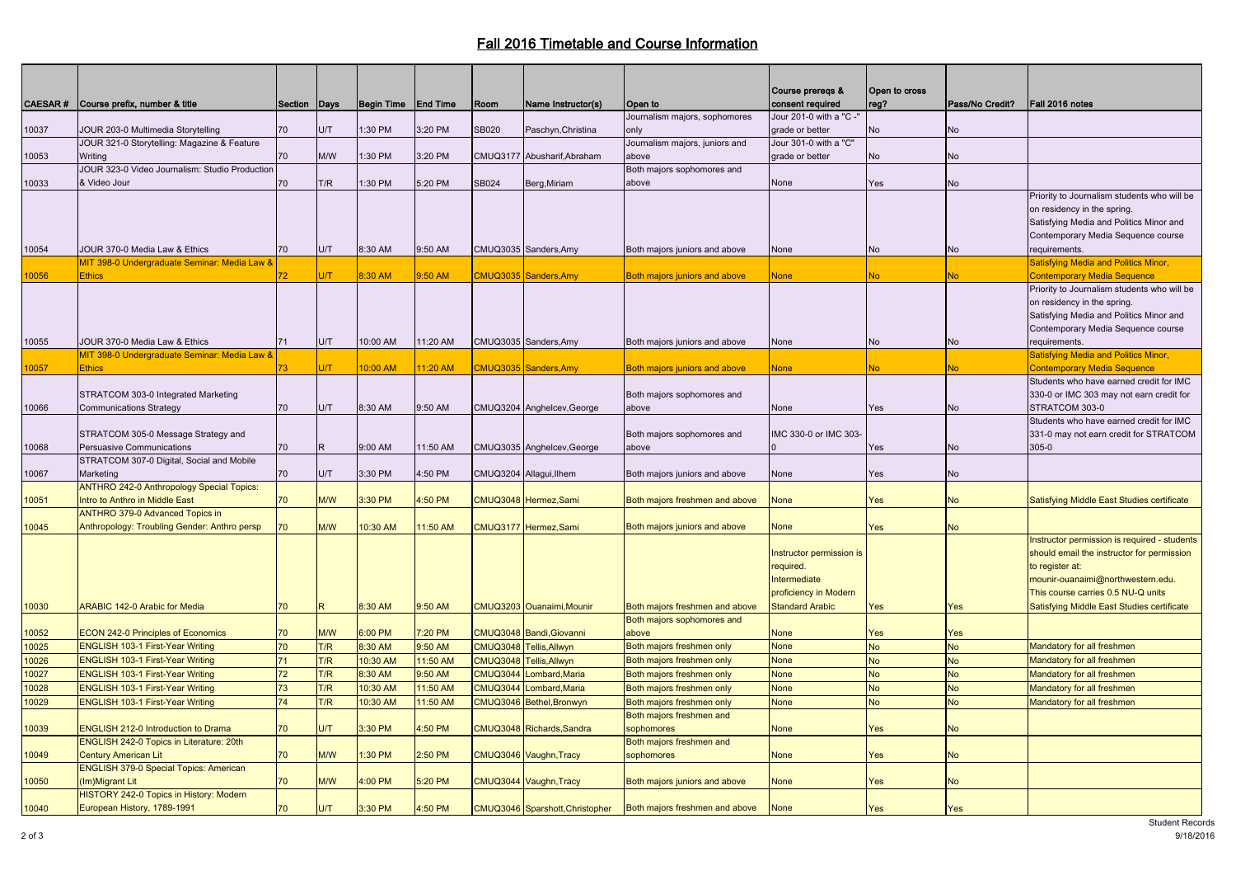## Fall 2016 Timetable and Course Information

|       |                                                  |                 |            |                   |                 |                 |                                 |                                | Course preregs &         | Open to cross |                 |                                                              |
|-------|--------------------------------------------------|-----------------|------------|-------------------|-----------------|-----------------|---------------------------------|--------------------------------|--------------------------|---------------|-----------------|--------------------------------------------------------------|
|       | CAESAR # Course prefix, number & title           | Section Days    |            | <b>Begin Time</b> | <b>End Time</b> | Room            | Name Instructor(s)              | Open to                        | consent required         | reg?          | Pass/No Credit? | Fall 2016 notes                                              |
|       |                                                  |                 |            |                   |                 |                 |                                 | Journalism majors, sophomores  | Jour 201-0 with a "C -'  |               |                 |                                                              |
| 10037 | JOUR 203-0 Multimedia Storytelling               | 70              | U/T        | 1:30 PM           | 3:20 PM         | <b>SB020</b>    | Paschyn, Christina              | only                           | grade or better          | No            | <b>No</b>       |                                                              |
|       | JOUR 321-0 Storytelling: Magazine & Feature      |                 |            |                   |                 |                 |                                 | Journalism majors, juniors and | Jour 301-0 with a "C"    |               |                 |                                                              |
| 10053 | Writing                                          | 70              | M/W        | :30 PM            | 3:20 PM         |                 | CMUQ3177 Abusharif, Abraham     | above                          | grade or better          | <b>No</b>     | <b>No</b>       |                                                              |
|       | JOUR 323-0 Video Journalism: Studio Production   |                 |            |                   |                 |                 |                                 | Both majors sophomores and     |                          |               |                 |                                                              |
| 10033 | & Video Jour                                     | 70              | T/R        | 1:30 PM           | 5:20 PM         | <b>SB024</b>    | Berg, Miriam                    | above                          | None                     | Yes           | No              |                                                              |
|       |                                                  |                 |            |                   |                 |                 |                                 |                                |                          |               |                 | Priority to Journalism students who will be                  |
|       |                                                  |                 |            |                   |                 |                 |                                 |                                |                          |               |                 | on residency in the spring.                                  |
|       |                                                  |                 |            |                   |                 |                 |                                 |                                |                          |               |                 | Satisfying Media and Politics Minor and                      |
|       |                                                  |                 |            |                   |                 |                 |                                 |                                |                          |               |                 | Contemporary Media Sequence course                           |
| 10054 | JOUR 370-0 Media Law & Ethics                    | 70              | U/T        | 8:30 AM           | 9:50 AM         |                 | CMUQ3035 Sanders, Amy           | Both majors juniors and above  | None                     | No            | No              | requirements.                                                |
|       | MIT 398-0 Undergraduate Seminar: Media Law &     |                 |            |                   |                 |                 |                                 |                                |                          |               |                 | <b>Satisfying Media and Politics Minor,</b>                  |
| 0056  | <b>Ethics</b>                                    | 72              | U/T        | 8:30 AM           | 9:50 AM         |                 | CMUQ3035 Sanders, Amy           | Both majors juniors and above  | <b>None</b>              | No.           | No.             | <b>Contemporary Media Sequence</b>                           |
|       |                                                  |                 |            |                   |                 |                 |                                 |                                |                          |               |                 | Priority to Journalism students who will be                  |
|       |                                                  |                 |            |                   |                 |                 |                                 |                                |                          |               |                 | on residency in the spring.                                  |
|       |                                                  |                 |            |                   |                 |                 |                                 |                                |                          |               |                 | Satisfying Media and Politics Minor and                      |
|       | JOUR 370-0 Media Law & Ethics                    |                 |            | 10:00 AM          |                 |                 |                                 |                                |                          |               |                 | Contemporary Media Sequence course                           |
| 10055 | MIT 398-0 Undergraduate Seminar: Media Law &     | 71              | U/T        |                   | 11:20 AM        |                 | CMUQ3035 Sanders, Amy           | Both majors juniors and above  | None                     | <b>No</b>     | <b>No</b>       | requirements.<br><b>Satisfying Media and Politics Minor,</b> |
| 0057  | <b>Ethics</b>                                    | 73 <sup>°</sup> | <b>U/T</b> | 10:00 AM          | 11:20 AM        |                 | CMUQ3035 Sanders, Amy           | Both majors juniors and above  | <b>None</b>              | No.           | N <sub>o</sub>  | <b>Contemporary Media Sequence</b>                           |
|       |                                                  |                 |            |                   |                 |                 |                                 |                                |                          |               |                 | Students who have earned credit for IMC                      |
|       | STRATCOM 303-0 Integrated Marketing              |                 |            |                   |                 |                 |                                 | Both majors sophomores and     |                          |               |                 | 330-0 or IMC 303 may not earn credit for                     |
| 10066 | <b>Communications Strategy</b>                   | 70              | U/T        | 8:30 AM           | 9:50 AM         |                 | CMUQ3204 Anghelcev, George      | above                          | None                     | Yes           | <b>No</b>       | STRATCOM 303-0                                               |
|       |                                                  |                 |            |                   |                 |                 |                                 |                                |                          |               |                 | Students who have earned credit for IMC                      |
|       | STRATCOM 305-0 Message Strategy and              |                 |            |                   |                 |                 |                                 | Both majors sophomores and     | IMC 330-0 or IMC 303     |               |                 | 331-0 may not earn credit for STRATCOM                       |
| 10068 | Persuasive Communications                        | 70              | R.         | 9:00 AM           | 11:50 AM        |                 | CMUQ3035 Anghelcev, George      | above                          |                          | Yes           | <b>No</b>       | $305 - 0$                                                    |
|       | STRATCOM 307-0 Digital, Social and Mobile        |                 |            |                   |                 |                 |                                 |                                |                          |               |                 |                                                              |
| 10067 | Marketing                                        | 70              | U/T        | 3:30 PM           | 4:50 PM         |                 | CMUQ3204 Allagui, Ilhem         | Both majors juniors and above  | None                     | Yes           | No              |                                                              |
|       | <b>ANTHRO 242-0 Anthropology Special Topics:</b> |                 |            |                   |                 |                 |                                 |                                |                          |               |                 |                                                              |
| 10051 | Intro to Anthro in Middle East                   | 70              | M/W        | 3:30 PM           | 4:50 PM         |                 | CMUQ3048 Hermez, Sami           | Both majors freshmen and above | None                     | Yes           | <b>No</b>       | Satisfying Middle East Studies certificate                   |
|       | <b>ANTHRO 379-0 Advanced Topics in</b>           |                 |            |                   |                 |                 |                                 |                                |                          |               |                 |                                                              |
| 10045 | Anthropology: Troubling Gender: Anthro persp     |                 | M/W        | 10:30 AM          | 1:50 AM         |                 | CMUQ3177 Hermez, Sami           | Both majors juniors and above  | None                     | Yes           | <b>No</b>       |                                                              |
|       |                                                  |                 |            |                   |                 |                 |                                 |                                |                          |               |                 | Instructor permission is required - students                 |
|       |                                                  |                 |            |                   |                 |                 |                                 |                                | Instructor permission is |               |                 | should email the instructor for permission                   |
|       |                                                  |                 |            |                   |                 |                 |                                 |                                | required.                |               |                 | to register at:                                              |
|       |                                                  |                 |            |                   |                 |                 |                                 |                                | Intermediate             |               |                 | mounir-ouanaimi@northwestern.edu.                            |
|       |                                                  |                 |            |                   |                 |                 |                                 |                                | proficiency in Modern    |               |                 | This course carries 0.5 NU-Q units                           |
| 10030 | ARABIC 142-0 Arabic for Media                    | 70              | R.         | 8:30 AM           | 9:50 AM         |                 | CMUQ3203 Ouanaimi, Mounir       | Both majors freshmen and above | <b>Standard Arabic</b>   | Yes           | Yes             | Satisfying Middle East Studies certificate                   |
|       |                                                  |                 |            |                   |                 |                 |                                 | Both majors sophomores and     |                          |               |                 |                                                              |
| 10052 | <b>ECON 242-0 Principles of Economics</b>        | 70              | <b>M/W</b> | 6:00 PM           | 7:20 PM         |                 | CMUQ3048 Bandi, Giovanni        | above                          | <b>None</b>              | Yes           | Yes             |                                                              |
| 10025 | <b>ENGLISH 103-1 First-Year Writing</b>          | 70              | T/R        | 8:30 AM           | 9:50 AM         |                 | CMUQ3048 Tellis, Allwyn         | Both majors freshmen only      | <b>None</b>              | <b>No</b>     | <b>No</b>       | Mandatory for all freshmen                                   |
| 10026 | <b>ENGLISH 103-1 First-Year Writing</b>          | 71              | T/R        | 10:30 AM          | 11:50 AM        |                 | CMUQ3048 Tellis, Allwyn         | Both majors freshmen only      | <b>None</b>              | <b>No</b>     | <b>No</b>       | Mandatory for all freshmen                                   |
| 10027 | <b>ENGLISH 103-1 First-Year Writing</b>          | 72              | T/R        | 8:30 AM           | 9:50 AM         | <b>CMUQ3044</b> | Lombard, Maria                  | Both majors freshmen only      | <b>None</b>              | <b>No</b>     | <b>No</b>       | Mandatory for all freshmen                                   |
| 10028 | <b>ENGLISH 103-1 First-Year Writing</b>          | 73              | T/R        | 10:30 AM          | 11:50 AM        | <b>CMUQ3044</b> | Lombard, Maria                  | Both majors freshmen only      | <b>None</b>              | <b>No</b>     | <b>No</b>       | Mandatory for all freshmen                                   |
| 10029 | <b>ENGLISH 103-1 First-Year Writing</b>          | 74              | T/R        | 10:30 AM          | 11:50 AM        |                 | CMUQ3046 Bethel, Bronwyn        | Both majors freshmen only      | <b>None</b>              | <b>No</b>     | <b>No</b>       | Mandatory for all freshmen                                   |
|       |                                                  |                 |            |                   |                 |                 |                                 | Both majors freshmen and       |                          |               |                 |                                                              |
| 10039 | ENGLISH 212-0 Introduction to Drama              | 70              | U/T        | 3:30 PM           | 4:50 PM         |                 | CMUQ3048 Richards, Sandra       | sophomores                     | None                     | Yes           | <b>No</b>       |                                                              |
|       | ENGLISH 242-0 Topics in Literature: 20th         |                 |            |                   |                 |                 |                                 | Both majors freshmen and       |                          |               |                 |                                                              |
| 10049 | <b>Century American Lit</b>                      | 70              | <b>M/W</b> | 1:30 PM           | $2:50$ PM       |                 | CMUQ3046 Vaughn, Tracy          | sophomores                     | <b>None</b>              | Yes           | <b>No</b>       |                                                              |
|       | <b>ENGLISH 379-0 Special Topics: American</b>    |                 |            |                   |                 |                 |                                 |                                |                          |               |                 |                                                              |
| 10050 | (Im)Migrant Lit                                  | 70              | M/W        | 1:00 PM           | 5:20 PM         |                 | CMUQ3044 Vaughn, Tracy          | Both majors juniors and above  | None                     | Yes           | <b>No</b>       |                                                              |
|       | HISTORY 242-0 Topics in History: Modern          |                 |            |                   |                 |                 |                                 |                                |                          |               |                 |                                                              |
| 10040 | European History, 1789-1991                      | 70              | U/T        | 3:30 PM           | 4:50 PM         |                 | CMUQ3046 Sparshott, Christopher | Both majors freshmen and above | <b>None</b>              | Yes           | <b>Yes</b>      |                                                              |